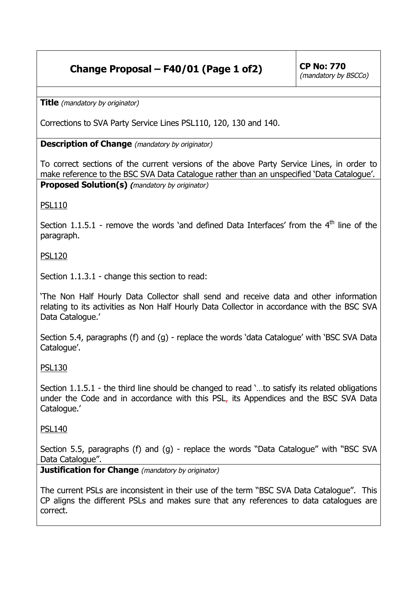## **Change Proposal – F40/01 (Page 1 of 2)**  $|$  CP No: 770

**Title** (mandatory by originator)

Corrections to SVA Party Service Lines PSL110, 120, 130 and 140.

**Description of Change** (mandatory by originator)

To correct sections of the current versions of the above Party Service Lines, in order to make reference to the BSC SVA Data Catalogue rather than an unspecified 'Data Catalogue'. **Proposed Solution(s) (**mandatory by originator)

PSL110

Section 1.1.5.1 - remove the words 'and defined Data Interfaces' from the  $4<sup>th</sup>$  line of the paragraph.

PSL120

Section 1.1.3.1 - change this section to read:

'The Non Half Hourly Data Collector shall send and receive data and other information relating to its activities as Non Half Hourly Data Collector in accordance with the BSC SVA Data Catalogue.'

Section 5.4, paragraphs (f) and (g) - replace the words 'data Catalogue' with 'BSC SVA Data Catalogue'.

PSL130

Section 1.1.5.1 - the third line should be changed to read '…to satisfy its related obligations under the Code and in accordance with this PSL, its Appendices and the BSC SVA Data Catalogue.'

PSL140

Section 5.5, paragraphs (f) and (g) - replace the words "Data Catalogue" with "BSC SVA Data Catalogue".

**Justification for Change** (mandatory by originator)

The current PSLs are inconsistent in their use of the term "BSC SVA Data Catalogue". This CP aligns the different PSLs and makes sure that any references to data catalogues are correct.